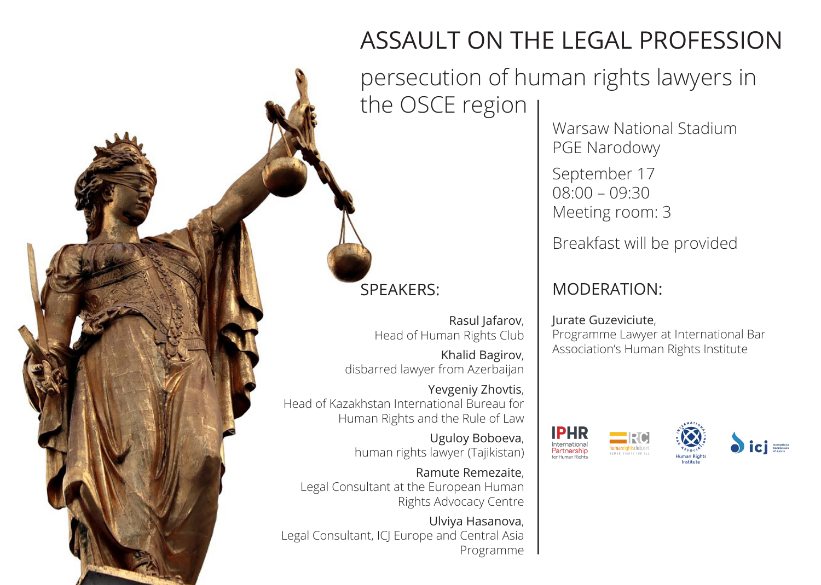## ASSAULT ON THE LEGAL PROFESSION

persecution of human rights lawyers in the OSCE region

Warsaw National Stadium PGE Narodowy

September 17 08:00 – 09:30 Meeting room: 3

Breakfast will be provided

## MODERATION:

Jurate Guzeviciute, Programme Lawyer at International Bar Association's Human Rights Institute







SPEAKERS:

Rasul Jafarov, Head of Human Rights Club

Khalid Bagirov, disbarred lawyer from Azerbaijan

Yevgeniy Zhovtis, Head of Kazakhstan International Bureau for Human Rights and the Rule of Law

> Uguloy Boboeva, human rights lawyer (Tajikistan)

Ramute Remezaite, Legal Consultant at the European Human Rights Advocacy Centre

Ulviya Hasanova, Legal Consultant, ICJ Europe and Central Asia Programme